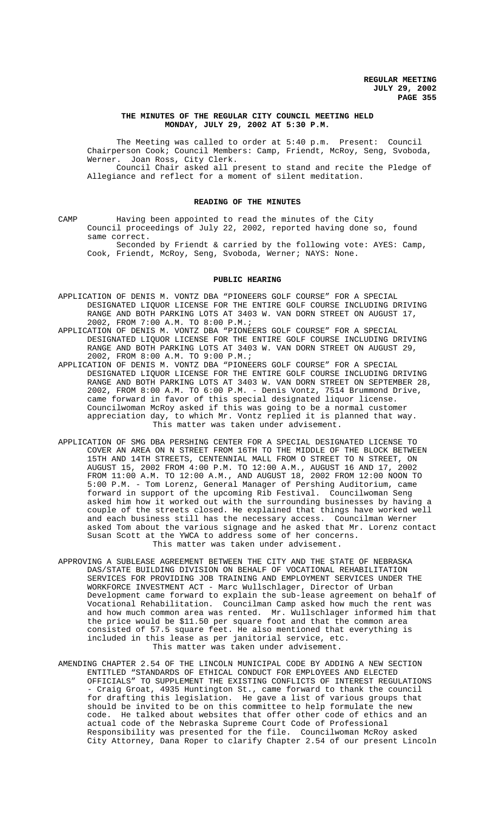## **THE MINUTES OF THE REGULAR CITY COUNCIL MEETING HELD MONDAY, JULY 29, 2002 AT 5:30 P.M.**

The Meeting was called to order at 5:40 p.m. Present: Council Chairperson Cook; Council Members: Camp, Friendt, McRoy, Seng, Svoboda, Werner. Joan Ross, City Clerk. Council Chair asked all present to stand and recite the Pledge of Allegiance and reflect for a moment of silent meditation.

### **READING OF THE MINUTES**

CAMP Having been appointed to read the minutes of the City Council proceedings of July 22, 2002, reported having done so, found same correct.

Seconded by Friendt & carried by the following vote: AYES: Camp, Cook, Friendt, McRoy, Seng, Svoboda, Werner; NAYS: None.

### **PUBLIC HEARING**

- APPLICATION OF DENIS M. VONTZ DBA "PIONEERS GOLF COURSE" FOR A SPECIAL DESIGNATED LIQUOR LICENSE FOR THE ENTIRE GOLF COURSE INCLUDING DRIVING RANGE AND BOTH PARKING LOTS AT 3403 W. VAN DORN STREET ON AUGUST 17, 2002, FROM 7:00 A.M. TO 8:00 P.M.;
- APPLICATION OF DENIS M. VONTZ DBA "PIONEERS GOLF COURSE" FOR A SPECIAL DESIGNATED LIQUOR LICENSE FOR THE ENTIRE GOLF COURSE INCLUDING DRIVING RANGE AND BOTH PARKING LOTS AT 3403 W. VAN DORN STREET ON AUGUST 29, 2002, FROM 8:00 A.M. TO 9:00 P.M.;
- APPLICATION OF DENIS M. VONTZ DBA "PIONEERS GOLF COURSE" FOR A SPECIAL DESIGNATED LIQUOR LICENSE FOR THE ENTIRE GOLF COURSE INCLUDING DRIVING RANGE AND BOTH PARKING LOTS AT 3403 W. VAN DORN STREET ON SEPTEMBER 28, 2002, FROM 8:00 A.M. TO 6:00 P.M. - Denis Vontz, 7514 Brummond Drive, came forward in favor of this special designated liquor license. Councilwoman McRoy asked if this was going to be a normal customer appreciation day, to which Mr. Vontz replied it is planned that way. This matter was taken under advisement.
- APPLICATION OF SMG DBA PERSHING CENTER FOR A SPECIAL DESIGNATED LICENSE TO COVER AN AREA ON N STREET FROM 16TH TO THE MIDDLE OF THE BLOCK BETWEEN 15TH AND 14TH STREETS, CENTENNIAL MALL FROM O STREET TO N STREET, ON AUGUST 15, 2002 FROM 4:00 P.M. TO 12:00 A.M., AUGUST 16 AND 17, 2002 FROM 11:00 A.M. TO 12:00 A.M., AND AUGUST 18, 2002 FROM 12:00 NOON TO 5:00 P.M. - Tom Lorenz, General Manager of Pershing Auditorium, came forward in support of the upcoming Rib Festival. Councilwoman Seng asked him how it worked out with the surrounding businesses by having a couple of the streets closed. He explained that things have worked well and each business still has the necessary access. Councilman Werner asked Tom about the various signage and he asked that Mr. Lorenz contact Susan Scott at the YWCA to address some of her concerns. This matter was taken under advisement.
- APPROVING A SUBLEASE AGREEMENT BETWEEN THE CITY AND THE STATE OF NEBRASKA DAS/STATE BUILDING DIVISION ON BEHALF OF VOCATIONAL REHABILITATION SERVICES FOR PROVIDING JOB TRAINING AND EMPLOYMENT SERVICES UNDER THE WORKFORCE INVESTMENT ACT - Marc Wullschlager, Director of Urban Development came forward to explain the sub-lease agreement on behalf of Vocational Rehabilitation. Councilman Camp asked how much the rent was and how much common area was rented. Mr. Wullschlager informed him that the price would be \$11.50 per square foot and that the common area consisted of 57.5 square feet. He also mentioned that everything is included in this lease as per janitorial service, etc. This matter was taken under advisement.
- AMENDING CHAPTER 2.54 OF THE LINCOLN MUNICIPAL CODE BY ADDING A NEW SECTION ENTITLED "STANDARDS OF ETHICAL CONDUCT FOR EMPLOYEES AND ELECTED OFFICIALS" TO SUPPLEMENT THE EXISTING CONFLICTS OF INTEREST REGULATIONS - Craig Groat, 4935 Huntington St., came forward to thank the council for drafting this legislation. He gave a list of various groups that should be invited to be on this committee to help formulate the new code. He talked about websites that offer other code of ethics and an actual code of the Nebraska Supreme Court Code of Professional Responsibility was presented for the file. Councilwoman McRoy asked City Attorney, Dana Roper to clarify Chapter 2.54 of our present Lincoln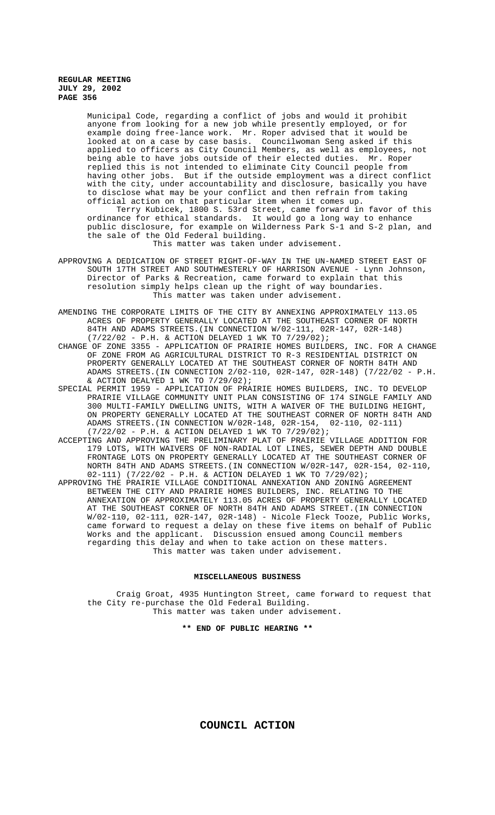Municipal Code, regarding a conflict of jobs and would it prohibit anyone from looking for a new job while presently employed, or for example doing free-lance work. Mr. Roper advised that it would be looked at on a case by case basis. Councilwoman Seng asked if this applied to officers as City Council Members, as well as employees, not being able to have jobs outside of their elected duties. Mr. Roper replied this is not intended to eliminate City Council people from having other jobs. But if the outside employment was a direct conflict with the city, under accountability and disclosure, basically you have to disclose what may be your conflict and then refrain from taking official action on that particular item when it comes up.

Terry Kubicek, 1800 S. 53rd Street, came forward in favor of this ordinance for ethical standards. It would go a long way to enhance public disclosure, for example on Wilderness Park S-1 and S-2 plan, and the sale of the Old Federal building.

This matter was taken under advisement.

- APPROVING A DEDICATION OF STREET RIGHT-OF-WAY IN THE UN-NAMED STREET EAST OF SOUTH 17TH STREET AND SOUTHWESTERLY OF HARRISON AVENUE - Lynn Johnson, Director of Parks & Recreation, came forward to explain that this resolution simply helps clean up the right of way boundaries. This matter was taken under advisement.
- AMENDING THE CORPORATE LIMITS OF THE CITY BY ANNEXING APPROXIMATELY 113.05 ACRES OF PROPERTY GENERALLY LOCATED AT THE SOUTHEAST CORNER OF NORTH 84TH AND ADAMS STREETS.(IN CONNECTION W/02-111, 02R-147, 02R-148) (7/22/02 - P.H. & ACTION DELAYED 1 WK TO 7/29/02);
- CHANGE OF ZONE 3355 APPLICATION OF PRAIRIE HOMES BUILDERS, INC. FOR A CHANGE OF ZONE FROM AG AGRICULTURAL DISTRICT TO R-3 RESIDENTIAL DISTRICT ON PROPERTY GENERALLY LOCATED AT THE SOUTHEAST CORNER OF NORTH 84TH AND ADAMS STREETS.(IN CONNECTION 2/02-110, 02R-147, 02R-148) (7/22/02 - P.H. & ACTION DEALYED 1 WK TO  $7/29/02$ ;
- SPECIAL PERMIT 1959 APPLICATION OF PRAIRIE HOMES BUILDERS, INC. TO DEVELOP PRAIRIE VILLAGE COMMUNITY UNIT PLAN CONSISTING OF 174 SINGLE FAMILY AND 300 MULTI-FAMILY DWELLING UNITS, WITH A WAIVER OF THE BUILDING HEIGHT, ON PROPERTY GENERALLY LOCATED AT THE SOUTHEAST CORNER OF NORTH 84TH AND ADAMS STREETS.(IN CONNECTION W/02R-148, 02R-154, 02-110, 02-111) (7/22/02 - P.H. & ACTION DELAYED 1 WK TO 7/29/02);
- ACCEPTING AND APPROVING THE PRELIMINARY PLAT OF PRAIRIE VILLAGE ADDITION FOR 179 LOTS, WITH WAIVERS OF NON-RADIAL LOT LINES, SEWER DEPTH AND DOUBLE FRONTAGE LOTS ON PROPERTY GENERALLY LOCATED AT THE SOUTHEAST CORNER OF NORTH 84TH AND ADAMS STREETS.(IN CONNECTION W/02R-147, 02R-154, 02-110, 02-111) (7/22/02 - P.H. & ACTION DELAYED 1 WK TO 7/29/02);
- APPROVING THE PRAIRIE VILLAGE CONDITIONAL ANNEXATION AND ZONING AGREEMENT BETWEEN THE CITY AND PRAIRIE HOMES BUILDERS, INC. RELATING TO THE ANNEXATION OF APPROXIMATELY 113.05 ACRES OF PROPERTY GENERALLY LOCATED AT THE SOUTHEAST CORNER OF NORTH 84TH AND ADAMS STREET.(IN CONNECTION W/02-110, 02-111, 02R-147, 02R-148) - Nicole Fleck Tooze, Public Works, came forward to request a delay on these five items on behalf of Public Works and the applicant. Discussion ensued among Council members regarding this delay and when to take action on these matters. This matter was taken under advisement.

#### **MISCELLANEOUS BUSINESS**

Craig Groat, 4935 Huntington Street, came forward to request that the City re-purchase the Old Federal Building. This matter was taken under advisement.

**\*\* END OF PUBLIC HEARING \*\***

**COUNCIL ACTION**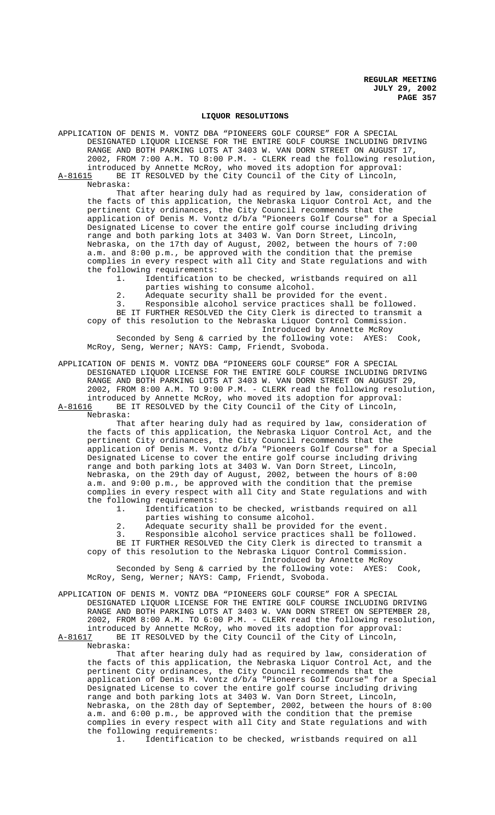### **LIQUOR RESOLUTIONS**

APPLICATION OF DENIS M. VONTZ DBA "PIONEERS GOLF COURSE" FOR A SPECIAL DESIGNATED LIQUOR LICENSE FOR THE ENTIRE GOLF COURSE INCLUDING DRIVING RANGE AND BOTH PARKING LOTS AT 3403 W. VAN DORN STREET ON AUGUST 17, 2002, FROM 7:00 A.M. TO 8:00 P.M. - CLERK read the following resolution, introduced by Annette McRoy, who moved its adoption for approval:

A-81615 BE IT RESOLVED by the City Council of the City of Lincoln, Nebraska:

That after hearing duly had as required by law, consideration of the facts of this application, the Nebraska Liquor Control Act, and the pertinent City ordinances, the City Council recommends that the application of Denis M. Vontz d/b/a "Pioneers Golf Course" for a Special Designated License to cover the entire golf course including driving range and both parking lots at 3403 W. Van Dorn Street, Lincoln, Nebraska, on the 17th day of August, 2002, between the hours of 7:00 a.m. and 8:00 p.m., be approved with the condition that the premise complies in every respect with all City and State regulations and with the following requirements:<br>1. Identification

- Identification to be checked, wristbands required on all parties wishing to consume alcohol.
- 2. Adequate security shall be provided for the event.

3. Responsible alcohol service practices shall be followed. BE IT FURTHER RESOLVED the City Clerk is directed to transmit a

copy of this resolution to the Nebraska Liquor Control Commission. Introduced by Annette McRoy Seconded by Seng & carried by the following vote: AYES: Cook,

McRoy, Seng, Werner; NAYS: Camp, Friendt, Svoboda.

APPLICATION OF DENIS M. VONTZ DBA "PIONEERS GOLF COURSE" FOR A SPECIAL DESIGNATED LIQUOR LICENSE FOR THE ENTIRE GOLF COURSE INCLUDING DRIVING RANGE AND BOTH PARKING LOTS AT 3403 W. VAN DORN STREET ON AUGUST 29, 2002, FROM 8:00 A.M. TO 9:00 P.M. - CLERK read the following resolution, introduced by Annette McRoy, who moved its adoption for approval: A-81616 BE IT RESOLVED by the City Council of the City of Lincoln,

Nebraska:

That after hearing duly had as required by law, consideration of the facts of this application, the Nebraska Liquor Control Act, and the pertinent City ordinances, the City Council recommends that the application of Denis M. Vontz d/b/a "Pioneers Golf Course" for a Special Designated License to cover the entire golf course including driving range and both parking lots at 3403 W. Van Dorn Street, Lincoln, Nebraska, on the 29th day of August, 2002, between the hours of 8:00 a.m. and 9:00 p.m., be approved with the condition that the premise complies in every respect with all City and State regulations and with the following requirements:

1. Identification to be checked, wristbands required on all parties wishing to consume alcohol.

2. Adequate security shall be provided for the event.

3. Responsible alcohol service practices shall be followed. BE IT FURTHER RESOLVED the City Clerk is directed to transmit a

copy of this resolution to the Nebraska Liquor Control Commission. Introduced by Annette McRoy

Seconded by Seng & carried by the following vote: AYES: Cook, McRoy, Seng, Werner; NAYS: Camp, Friendt, Svoboda.

APPLICATION OF DENIS M. VONTZ DBA "PIONEERS GOLF COURSE" FOR A SPECIAL DESIGNATED LIQUOR LICENSE FOR THE ENTIRE GOLF COURSE INCLUDING DRIVING RANGE AND BOTH PARKING LOTS AT 3403 W. VAN DORN STREET ON SEPTEMBER 28, 2002, FROM 8:00 A.M. TO 6:00 P.M. - CLERK read the following resolution, introduced by Annette McRoy, who moved its adoption for approval: A-81617 BE IT RESOLVED by the City Council of the City of Lincoln,

Nebraska:

That after hearing duly had as required by law, consideration of the facts of this application, the Nebraska Liquor Control Act, and the pertinent City ordinances, the City Council recommends that the application of Denis M. Vontz d/b/a "Pioneers Golf Course" for a Special Designated License to cover the entire golf course including driving range and both parking lots at 3403 W. Van Dorn Street, Lincoln, Nebraska, on the 28th day of September, 2002, between the hours of 8:00 a.m. and 6:00 p.m., be approved with the condition that the premise complies in every respect with all City and State regulations and with the following requirements:

1. Identification to be checked, wristbands required on all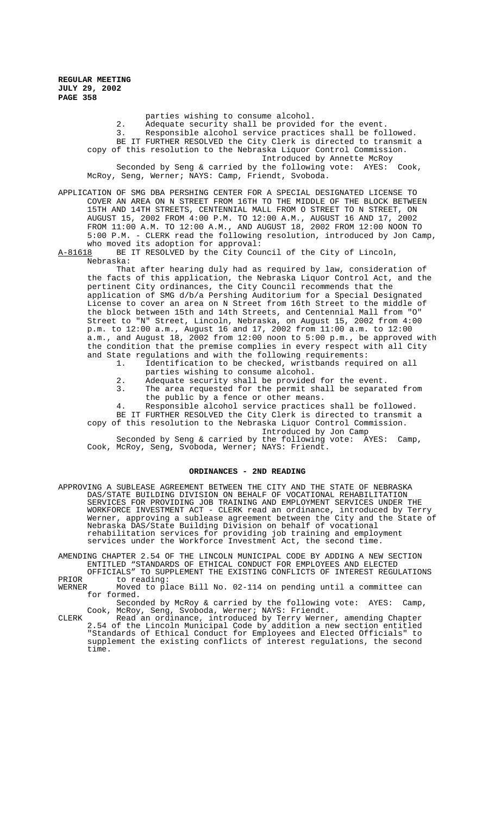> parties wishing to consume alcohol. 2. Adequate security shall be provided for the event.<br>3. Responsible alcohol service practices shall be fol Responsible alcohol service practices shall be followed. BE IT FURTHER RESOLVED the City Clerk is directed to transmit a copy of this resolution to the Nebraska Liquor Control Commission. Introduced by Annette McRoy Seconded by Seng & carried by the following vote: AYES: Cook, McRoy, Seng, Werner; NAYS: Camp, Friendt, Svoboda.

APPLICATION OF SMG DBA PERSHING CENTER FOR A SPECIAL DESIGNATED LICENSE TO COVER AN AREA ON N STREET FROM 16TH TO THE MIDDLE OF THE BLOCK BETWEEN 15TH AND 14TH STREETS, CENTENNIAL MALL FROM O STREET TO N STREET, ON AUGUST 15, 2002 FROM 4:00 P.M. TO 12:00 A.M., AUGUST 16 AND 17, 2002 FROM 11:00 A.M. TO 12:00 A.M., AND AUGUST 18, 2002 FROM 12:00 NOON TO 5:00 P.M. - CLERK read the following resolution, introduced by Jon Camp, who moved its adoption for approval:

## A-81618 BE IT RESOLVED by the City Council of the City of Lincoln, Nebraska:

That after hearing duly had as required by law, consideration of the facts of this application, the Nebraska Liquor Control Act, and the pertinent City ordinances, the City Council recommends that the application of SMG d/b/a Pershing Auditorium for a Special Designated License to cover an area on N Street from 16th Street to the middle of the block between 15th and 14th Streets, and Centennial Mall from "O" Street to "N" Street, Lincoln, Nebraska, on August 15, 2002 from 4:00 p.m. to 12:00 a.m., August 16 and 17, 2002 from 11:00 a.m. to 12:00 a.m., and August 18, 2002 from 12:00 noon to 5:00 p.m., be approved with the condition that the premise complies in every respect with all City and State regulations and with the following requirements:

- 1. Identification to be checked, wristbands required on all
- parties wishing to consume alcohol.
- 2. Adequate security shall be provided for the event.
- 3. The area requested for the permit shall be separated from the public by a fence or other means.
- 4. Responsible alcohol service practices shall be followed. BE IT FURTHER RESOLVED the City Clerk is directed to transmit a

copy of this resolution to the Nebraska Liquor Control Commission. Introduced by Jon Camp

Seconded by Seng & carried by the following vote: AYES: Camp, Cook, McRoy, Seng, Svoboda, Werner; NAYS: Friendt.

#### **ORDINANCES - 2ND READING**

- APPROVING A SUBLEASE AGREEMENT BETWEEN THE CITY AND THE STATE OF NEBRASKA DAS/STATE BUILDING DIVISION ON BEHALF OF VOCATIONAL REHABILITATION SERVICES FOR PROVIDING JOB TRAINING AND EMPLOYMENT SERVICES UNDER THE WORKFORCE INVESTMENT ACT - CLERK read an ordinance, introduced by Terry Werner, approving a sublease agreement between the City and the State of Nebraska DAS/State Building Division on behalf of vocational rehabilitation services for providing job training and employment services under the Workforce Investment Act, the second time.
- AMENDING CHAPTER 2.54 OF THE LINCOLN MUNICIPAL CODE BY ADDING A NEW SECTION ENTITLED "STANDARDS OF ETHICAL CONDUCT FOR EMPLOYEES AND ELECTED OFFICIALS" TO SUPPLEMENT THE EXISTING CONFLICTS OF INTEREST REGULATIONS

PRIOR to reading:<br>WERNER Moved to pl Moved to place Bill No. 02-114 on pending until a committee can for formed.

Seconded by McRoy & carried by the following vote: AYES: Camp, Cook, McRoy, Seng, Svoboda, Werner; NAYS: Friendt.

CLERK Read an ordinance, introduced by Terry Werner, amending Chapter 2.54 of the Lincoln Municipal Code by addition a new section entitled "Standards of Ethical Conduct for Employees and Elected Officials" to supplement the existing conflicts of interest regulations, the second time.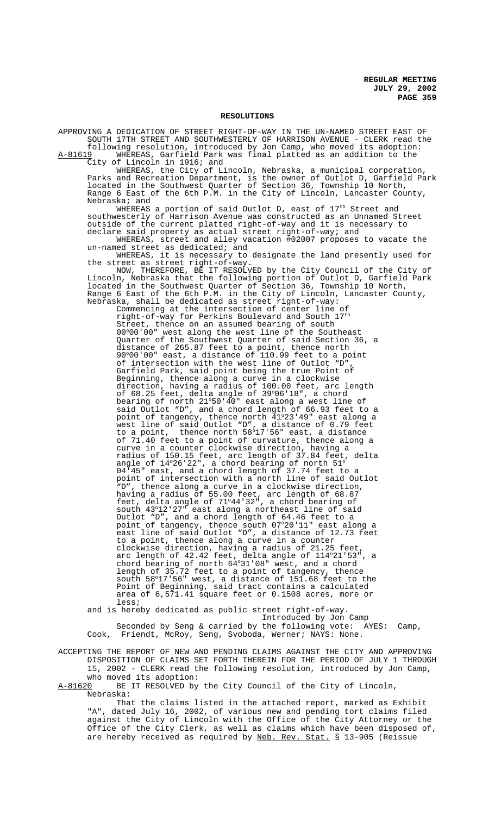### **RESOLUTIONS**

APPROVING A DEDICATION OF STREET RIGHT-OF-WAY IN THE UN-NAMED STREET EAST OF SOUTH 17TH STREET AND SOUTHWESTERLY OF HARRISON AVENUE - CLERK read the following resolution, introduced by Jon Camp, who moved its adoption:

A-81619 WHEREAS, Garfield Park was final platted as an addition to the City of Lincoln in 1916; and

WHEREAS, the City of Lincoln, Nebraska, a municipal corporation, and Recreation Department, is the owner of Outlot D, Garfield Park Parks and Recreation Department, is the owner of Outlot D, Garfield Park located in the Southwest Quarter of Section 36, Township 10 North, Range 6 East of the 6th P.M. in the City of Lincoln, Lancaster County, Nebraska; and

WHEREAS a portion of said Outlot D, east of  $17^{\text{th}}$  Street and southwesterly of Harrison Avenue was constructed as an Unnamed Street outside of the current platted right-of-way and it is necessary to declare said property as actual street right-of-way; and

WHEREAS, street and alley vacation #02007 proposes to vacate the un-named street as dedicated; and

WHEREAS, it is necessary to designate the land presently used for the street as street right-of-way.

NOW, THEREFORE, BE IT RESOLVED by the City Council of the City of Lincoln, Nebraska that the following portion of Outlot D, Garfield Park located in the Southwest Quarter of Section 36, Township 10 North, Range 6 East of the 6th P.M. in the City of Lincoln, Lancaster County, Nebraska, shall be dedicated as street right-of-way:

Commencing at the intersection of center line of right-of-way for Perkins Boulevard and South  $17^{\rm th}$ Street, thence on an assumed bearing of south 00°00'00" west along the west line of the Southeast Quarter of the Southwest Quarter of said Section 36, a distance of 265.87 feet to a point, thence north 90°00'00" east, a distance of 110.99 feet to a point of intersection with the west line of Outlot "D", Garfield Park, said point being the true Point of Beginning, thence along a curve in a clockwise direction, having a radius of 100.00 feet, arc length of 68.25 feet, delta angle of 39°06'18", a chord bearing of north 21°50' $\bar{4}$ 0" east along a west line of said Outlot "D", and a chord length of 66.93 feet to a point of tangency, thence north 41°23'49" east along a west line of said Outlot "D", a distance of 0.79 feet to a point, thence north  $58^{\circ}17'56''$  east, a distance of 71.40 feet to a point of curvature, thence along a curve in a counter clockwise direction, having a radius of 150.15 feet, arc length of 37.84 feet, delta angle of  $14^{\circ}26^{\circ}22^{\prime\prime}$ , a chord bearing of north  $51^{\circ}$ 04'45" east, and a chord length of 37.74 feet to a point of intersection with a north line of said Outlot "D", thence along a curve in a clockwise direction, having a radius of 55.00 feet, arc length of 68.87 feet, delta angle of 71°44'32", a chord bearing of south 43°12'27" east along a northeast line of said Outlot "D", and a chord length of 64.46 feet to a point of tangency, thence south 07°20'11" east along a east line of said Outlot "D", a distance of 12.73 feet to a point, thence along a curve in a counter clockwise direction, having a radius of 21.25 feet, arc length of 42.42 feet, delta angle of 114°21'53", a chord bearing of north  $64^{\circ}31'08''$  west, and a chord length of 35.72 feet to a point of tangency, thence south 58°17'56" west, a distance of 151.68 feet to the Point of Beginning, said tract contains a calculated area of 6,571.41 square feet or 0.1508 acres, more or less;

and is hereby dedicated as public street right-of-way. Introduced by Jon Camp Seconded by Seng & carried by the following vote: AYES: Camp, Cook, Friendt, McRoy, Seng, Svoboda, Werner; NAYS: None.

ACCEPTING THE REPORT OF NEW AND PENDING CLAIMS AGAINST THE CITY AND APPROVING DISPOSITION OF CLAIMS SET FORTH THEREIN FOR THE PERIOD OF JULY 1 THROUGH 15, 2002 - CLERK read the following resolution, introduced by Jon Camp, who moved its adoption:<br>A-81620 BE IT RESOLVED by

BE IT RESOLVED by the City Council of the City of Lincoln, Nebraska:

That the claims listed in the attached report, marked as Exhibit "A", dated July 16, 2002, of various new and pending tort claims filed against the City of Lincoln with the Office of the City Attorney or the Office of the City Clerk, as well as claims which have been disposed of, are hereby received as required by Neb. Rev. Stat. § 13-905 (Reissue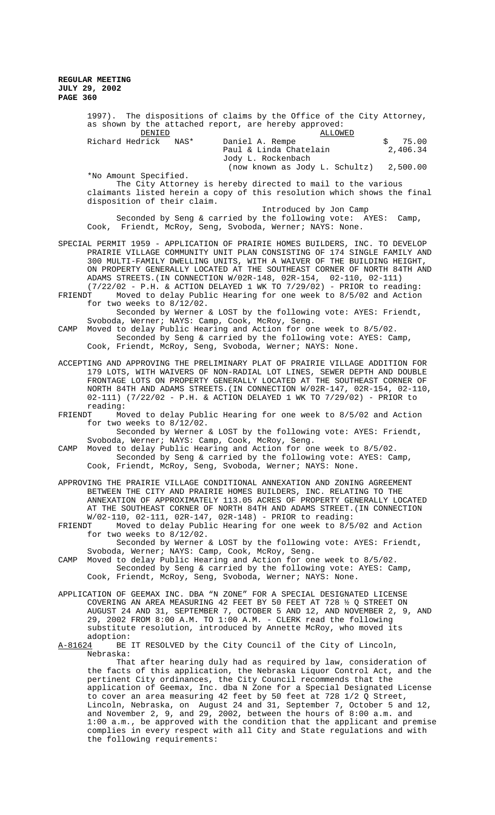|                                                                              | 1997). The dispositions of claims by the Office of the City Attorney,<br>as shown by the attached report, are hereby approved:<br>DENIED<br>ALLOWED                                                                                                                                                                                                                                                                                                                                                                |
|------------------------------------------------------------------------------|--------------------------------------------------------------------------------------------------------------------------------------------------------------------------------------------------------------------------------------------------------------------------------------------------------------------------------------------------------------------------------------------------------------------------------------------------------------------------------------------------------------------|
|                                                                              | Richard Hedrick<br>75.00<br>NAS*<br>Daniel A. Rempe<br>\$<br>2,406.34<br>Paul & Linda Chatelain<br>Jody L. Rockenbach                                                                                                                                                                                                                                                                                                                                                                                              |
|                                                                              | (now known as Jody L. Schultz)<br>2,500.00<br>*No Amount Specified.                                                                                                                                                                                                                                                                                                                                                                                                                                                |
|                                                                              | The City Attorney is hereby directed to mail to the various<br>claimants listed herein a copy of this resolution which shows the final<br>disposition of their claim.                                                                                                                                                                                                                                                                                                                                              |
|                                                                              | Introduced by Jon Camp<br>Seconded by Seng & carried by the following vote: AYES:<br>Camp,<br>Cook, Friendt, McRoy, Seng, Svoboda, Werner; NAYS: None.                                                                                                                                                                                                                                                                                                                                                             |
| SPECIAL PERMIT 1959 - APPLICATION OF PRAIRIE HOMES BUILDERS, INC. TO DEVELOP |                                                                                                                                                                                                                                                                                                                                                                                                                                                                                                                    |
|                                                                              | PRAIRIE VILLAGE COMMUNITY UNIT PLAN CONSISTING OF 174 SINGLE FAMILY AND<br>300 MULTI-FAMILY DWELLING UNITS, WITH A WAIVER OF THE BUILDING HEIGHT,<br>ON PROPERTY GENERALLY LOCATED AT THE SOUTHEAST CORNER OF NORTH 84TH AND<br>ADAMS STREETS. (IN CONNECTION W/02R-148, 02R-154, 02-110, 02-111)<br>$(7/22/02 - P.H.$ & ACTION DELAYED 1 WK TO 7/29/02) - PRIOR to reading:                                                                                                                                       |
| FRIENDT                                                                      | Moved to delay Public Hearing for one week to 8/5/02 and Action<br>for two weeks to $8/12/02$ .                                                                                                                                                                                                                                                                                                                                                                                                                    |
| CAMP                                                                         | Seconded by Werner & LOST by the following vote: AYES: Friendt,<br>Svoboda, Werner; NAYS: Camp, Cook, McRoy, Seng.<br>Moved to delay Public Hearing and Action for one week to 8/5/02.                                                                                                                                                                                                                                                                                                                             |
|                                                                              | Seconded by Seng & carried by the following vote: AYES: Camp,<br>Cook, Friendt, McRoy, Seng, Svoboda, Werner; NAYS: None.                                                                                                                                                                                                                                                                                                                                                                                          |
| ACCEPTING AND APPROVING THE PRELIMINARY PLAT OF PRAIRIE VILLAGE ADDITION FOR |                                                                                                                                                                                                                                                                                                                                                                                                                                                                                                                    |
|                                                                              | 179 LOTS, WITH WAIVERS OF NON-RADIAL LOT LINES, SEWER DEPTH AND DOUBLE<br>FRONTAGE LOTS ON PROPERTY GENERALLY LOCATED AT THE SOUTHEAST CORNER OF<br>NORTH 84TH AND ADAMS STREETS. (IN CONNECTION W/02R-147, 02R-154, 02-110,<br>02-111) (7/22/02 - P.H. & ACTION DELAYED 1 WK TO 7/29/02) - PRIOR to<br>reading:                                                                                                                                                                                                   |
| FRIENDT                                                                      | Moved to delay Public Hearing for one week to 8/5/02 and Action                                                                                                                                                                                                                                                                                                                                                                                                                                                    |
|                                                                              | for two weeks to $8/12/02$ .<br>Seconded by Werner & LOST by the following vote: AYES: Friendt,<br>Svoboda, Werner; NAYS: Camp, Cook, McRoy, Seng.                                                                                                                                                                                                                                                                                                                                                                 |
| CAMP                                                                         | Moved to delay Public Hearing and Action for one week to 8/5/02.<br>Seconded by Seng & carried by the following vote: AYES: Camp,<br>Cook, Friendt, McRoy, Seng, Svoboda, Werner; NAYS: None.                                                                                                                                                                                                                                                                                                                      |
| APPROVING THE PRAIRIE VILLAGE CONDITIONAL ANNEXATION AND ZONING AGREEMENT    |                                                                                                                                                                                                                                                                                                                                                                                                                                                                                                                    |
|                                                                              | BETWEEN THE CITY AND PRAIRIE HOMES BUILDERS, INC. RELATING TO THE<br>ANNEXATION OF APPROXIMATELY 113.05 ACRES OF PROPERTY GENERALLY LOCATED<br>AT THE SOUTHEAST CORNER OF NORTH 84TH AND ADAMS STREET. (IN CONNECTION<br>$W/02-110$ , 02-111, 02R-147, 02R-148) - PRIOR to reading:                                                                                                                                                                                                                                |
| FRIENDT                                                                      | Moved to delay Public Hearing for one week to 8/5/02 and Action<br>for two weeks to $8/12/02$ .                                                                                                                                                                                                                                                                                                                                                                                                                    |
| CAMP                                                                         | Seconded by Werner & LOST by the following vote: AYES: Friendt,<br>Svoboda, Werner; NAYS: Camp, Cook, McRoy, Seng.<br>Moved to delay Public Hearing and Action for one week to 8/5/02.<br>Seconded by Seng & carried by the following vote: AYES: Camp,<br>Cook, Friendt, McRoy, Seng, Svoboda, Werner; NAYS: None.                                                                                                                                                                                                |
| APPLICATION OF GEEMAX INC. DBA "N ZONE" FOR A SPECIAL DESIGNATED LICENSE     |                                                                                                                                                                                                                                                                                                                                                                                                                                                                                                                    |
|                                                                              | COVERING AN AREA MEASURING 42 FEET BY 50 FEET AT 728 $\frac{1}{2}$ Q STREET ON<br>AUGUST 24 AND 31, SEPTEMBER 7, OCTOBER 5 AND 12, AND NOVEMBER 2, 9, AND<br>29, 2002 FROM 8:00 A.M. TO 1:00 A.M. - CLERK read the following<br>substitute resolution, introduced by Annette McRoy, who moved its<br>adoption:                                                                                                                                                                                                     |
| A-81624                                                                      | BE IT RESOLVED by the City Council of the City of Lincoln,<br>Nebraska:                                                                                                                                                                                                                                                                                                                                                                                                                                            |
|                                                                              | That after hearing duly had as required by law, consideration of<br>the facts of this application, the Nebraska Liquor Control Act, and the<br>pertinent City ordinances, the City Council recommends that the<br>application of Geemax, Inc. dba N Zone for a Special Designated License<br>to cover an area measuring 42 feet by 50 feet at 728 1/2 Q Street,<br>Lincoln, Nebraska, on August 24 and 31, September 7, October 5 and 12,<br>and November 2, 9, and 29, 2002, between the hours of $8:00$ a.m. and |
|                                                                              | 1:00 a.m., be approved with the condition that the applicant and premise                                                                                                                                                                                                                                                                                                                                                                                                                                           |

complies in every respect with all City and State regulations and with

the following requirements: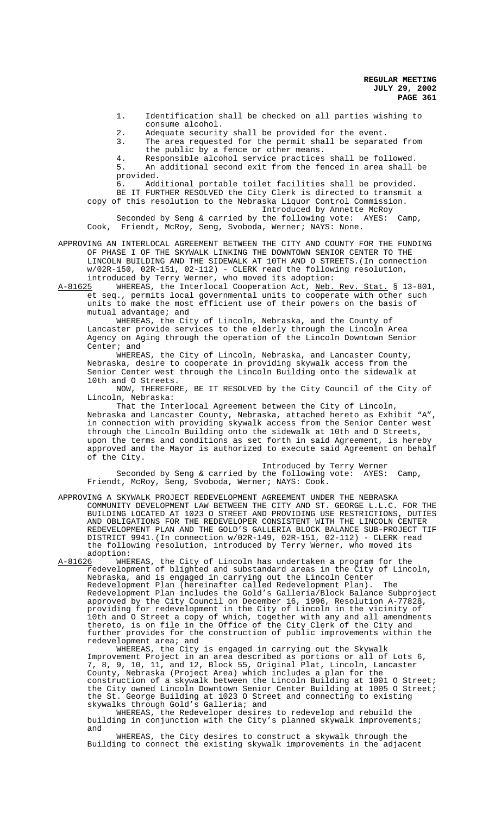1. Identification shall be checked on all parties wishing to consume alcohol.

2. Adequate security shall be provided for the event. 3. The area requested for the permit shall be separated from

the public by a fence or other means.

4. Responsible alcohol service practices shall be followed. 5. An additional second exit from the fenced in area shall be provided.

6. Additional portable toilet facilities shall be provided. BE IT FURTHER RESOLVED the City Clerk is directed to transmit a

copy of this resolution to the Nebraska Liquor Control Commission. Introduced by Annette McRoy

Seconded by Seng & carried by the following vote: AYES: Camp, Cook, Friendt, McRoy, Seng, Svoboda, Werner; NAYS: None.

APPROVING AN INTERLOCAL AGREEMENT BETWEEN THE CITY AND COUNTY FOR THE FUNDING OF PHASE I OF THE SKYWALK LINKING THE DOWNTOWN SENIOR CENTER TO THE LINCOLN BUILDING AND THE SIDEWALK AT 10TH AND O STREETS.(In connection w/02R-150, 02R-151, 02-112) - CLERK read the following resolution, introduced by Terry Werner, who moved its adoption:

A-81625 WHEREAS, the Interlocal Cooperation Act, Neb. Rev. Stat. § 13-801, et seq., permits local governmental units to cooperate with other such units to make the most efficient use of their powers on the basis of mutual advantage; and

WHEREAS, the City of Lincoln, Nebraska, and the County of Lancaster provide services to the elderly through the Lincoln Area Agency on Aging through the operation of the Lincoln Downtown Senior Center; and

WHEREAS, the City of Lincoln, Nebraska, and Lancaster County, Nebraska, desire to cooperate in providing skywalk access from the Senior Center west through the Lincoln Building onto the sidewalk at 10th and O Streets.

NOW, THEREFORE, BE IT RESOLVED by the City Council of the City of Lincoln, Nebraska:

That the Interlocal Agreement between the City of Lincoln, Nebraska and Lancaster County, Nebraska, attached hereto as Exhibit "A", in connection with providing skywalk access from the Senior Center west through the Lincoln Building onto the sidewalk at 10th and O Streets, upon the terms and conditions as set forth in said Agreement, is hereby approved and the Mayor is authorized to execute said Agreement on behalf of the City.

Introduced by Terry Werner Seconded by Seng & carried by the following vote: AYES: Camp, Friendt, McRoy, Seng, Svoboda, Werner; NAYS: Cook.

APPROVING A SKYWALK PROJECT REDEVELOPMENT AGREEMENT UNDER THE NEBRASKA COMMUNITY DEVELOPMENT LAW BETWEEN THE CITY AND ST. GEORGE L.L.C. FOR THE BUILDING LOCATED AT 1023 O STREET AND PROVIDING USE RESTRICTIONS, DUTIES AND OBLIGATIONS FOR THE REDEVELOPER CONSISTENT WITH THE LINCOLN CENTER REDEVELOPMENT PLAN AND THE GOLD'S GALLERIA BLOCK BALANCE SUB-PROJECT TIF DISTRICT 9941.(In connection w/02R-149, 02R-151, 02-112) - CLERK read the following resolution, introduced by Terry Werner, who moved its adoption:<br>A-81626 WHE

WHEREAS, the City of Lincoln has undertaken a program for the redevelopment of blighted and substandard areas in the City of Lincoln, Nebraska, and is engaged in carrying out the Lincoln Center Redevelopment Plan (hereinafter called Redevelopment Plan). The Redevelopment Plan includes the Gold's Galleria/Block Balance Subproject approved by the City Council on December 16, 1996, Resolution A-77828, providing for redevelopment in the City of Lincoln in the vicinity of 10th and O Street a copy of which, together with any and all amendments thereto, is on file in the Office of the City Clerk of the City and further provides for the construction of public improvements within the redevelopment area; and

WHEREAS, the City is engaged in carrying out the Skywalk Improvement Project in an area described as portions or all of Lots 6, 7, 8, 9, 10, 11, and 12, Block 55, Original Plat, Lincoln, Lancaster County, Nebraska (Project Area) which includes a plan for the construction of a skywalk between the Lincoln Building at 1001 O Street; the City owned Lincoln Downtown Senior Center Building at 1005 O Street; the St. George Building at 1023 O Street and connecting to existing skywalks through Gold's Galleria; and

WHEREAS, the Redeveloper desires to redevelop and rebuild the building in conjunction with the City's planned skywalk improvements; and

WHEREAS, the City desires to construct a skywalk through the Building to connect the existing skywalk improvements in the adjacent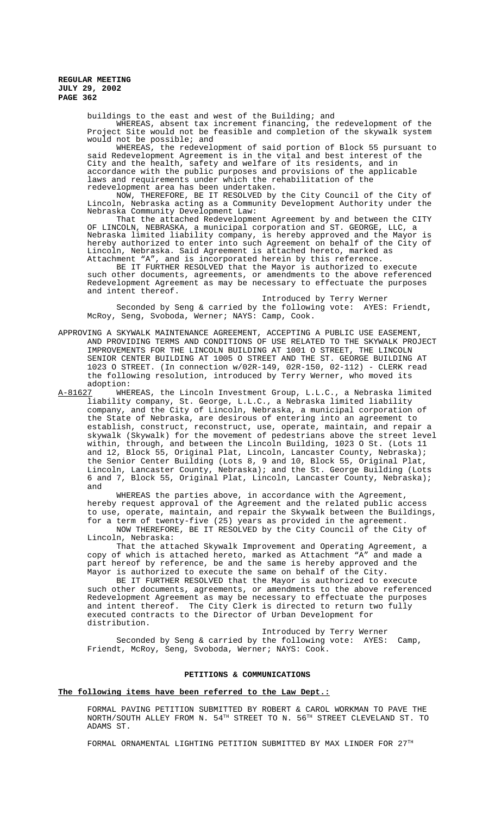buildings to the east and west of the Building; and

WHEREAS, absent tax increment financing, the redevelopment of the Project Site would not be feasible and completion of the skywalk system would not be possible; and

WHEREAS, the redevelopment of said portion of Block 55 pursuant to said Redevelopment Agreement is in the vital and best interest of the City and the health, safety and welfare of its residents, and in accordance with the public purposes and provisions of the applicable laws and requirements under which the rehabilitation of the redevelopment area has been undertaken.

NOW, THEREFORE, BE IT RESOLVED by the City Council of the City of Lincoln, Nebraska acting as a Community Development Authority under the Nebraska Community Development Law:

That the attached Redevelopment Agreement by and between the CITY OF LINCOLN, NEBRASKA, a municipal corporation and ST. GEORGE, LLC, a Nebraska limited liability company, is hereby approved and the Mayor is hereby authorized to enter into such Agreement on behalf of the City of Lincoln, Nebraska. Said Agreement is attached hereto, marked as Attachment "A", and is incorporated herein by this reference.

BE IT FURTHER RESOLVED that the Mayor is authorized to execute such other documents, agreements, or amendments to the above referenced Redevelopment Agreement as may be necessary to effectuate the purposes and intent thereof.

Introduced by Terry Werner Seconded by Seng & carried by the following vote: AYES: Friendt, McRoy, Seng, Svoboda, Werner; NAYS: Camp, Cook.

- APPROVING A SKYWALK MAINTENANCE AGREEMENT, ACCEPTING A PUBLIC USE EASEMENT, AND PROVIDING TERMS AND CONDITIONS OF USE RELATED TO THE SKYWALK PROJECT IMPROVEMENTS FOR THE LINCOLN BUILDING AT 1001 O STREET, THE LINCOLN SENIOR CENTER BUILDING AT 1005 O STREET AND THE ST. GEORGE BUILDING AT 1023 O STREET. (In connection w/02R-149, 02R-150, 02-112) - CLERK read the following resolution, introduced by Terry Werner, who moved its
- adoption:<br><u>A-81627</u> WHE WHEREAS, the Lincoln Investment Group, L.L.C., a Nebraska limited liability company, St. George, L.L.C., a Nebraska limited liability company, and the City of Lincoln, Nebraska, a municipal corporation of the State of Nebraska, are desirous of entering into an agreement to establish, construct, reconstruct, use, operate, maintain, and repair a skywalk (Skywalk) for the movement of pedestrians above the street level within, through, and between the Lincoln Building, 1023 O St. (Lots 11 and 12, Block 55, Original Plat, Lincoln, Lancaster County, Nebraska); the Senior Center Building (Lots 8, 9 and 10, Block 55, Original Plat, Lincoln, Lancaster County, Nebraska); and the St. George Building (Lots 6 and 7, Block 55, Original Plat, Lincoln, Lancaster County, Nebraska); and

WHEREAS the parties above, in accordance with the Agreement, hereby request approval of the Agreement and the related public access to use, operate, maintain, and repair the Skywalk between the Buildings, for a term of twenty-five (25) years as provided in the agreement. NOW THEREFORE, BE IT RESOLVED by the City Council of the City of

Lincoln, Nebraska:

That the attached Skywalk Improvement and Operating Agreement, a copy of which is attached hereto, marked as Attachment "A" and made a part hereof by reference, be and the same is hereby approved and the Mayor is authorized to execute the same on behalf of the City.

BE IT FURTHER RESOLVED that the Mayor is authorized to execute such other documents, agreements, or amendments to the above referenced Redevelopment Agreement as may be necessary to effectuate the purposes and intent thereof. The City Clerk is directed to return two fully executed contracts to the Director of Urban Development for distribution.

Introduced by Terry Werner Seconded by Seng & carried by the following vote: AYES: Camp, Friendt, McRoy, Seng, Svoboda, Werner; NAYS: Cook.

# **PETITIONS & COMMUNICATIONS**

## **The following items have been referred to the Law Dept.:**

FORMAL PAVING PETITION SUBMITTED BY ROBERT & CAROL WORKMAN TO PAVE THE NORTH/SOUTH ALLEY FROM N. 54<sup>TH</sup> STREET TO N. 56<sup>TH</sup> STREET CLEVELAND ST. TO ADAMS ST.

FORMAL ORNAMENTAL LIGHTING PETITION SUBMITTED BY MAX LINDER FOR 27TH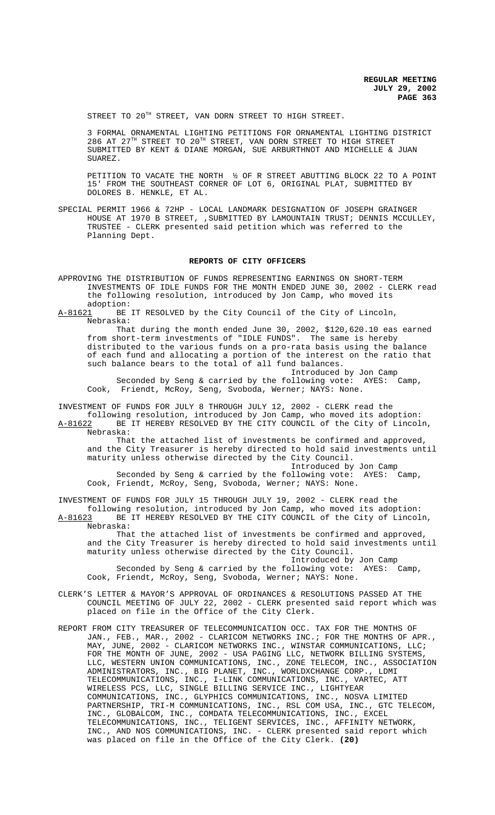STREET TO 20<sup>TH</sup> STREET, VAN DORN STREET TO HIGH STREET.

3 FORMAL ORNAMENTAL LIGHTING PETITIONS FOR ORNAMENTAL LIGHTING DISTRICT 286 AT 27TH STREET TO 20TH STREET, VAN DORN STREET TO HIGH STREET SUBMITTED BY KENT & DIANE MORGAN, SUE ARBURTHNOT AND MICHELLE & JUAN SUAREZ.

PETITION TO VACATE THE NORTH ½ OF R STREET ABUTTING BLOCK 22 TO A POINT 15' FROM THE SOUTHEAST CORNER OF LOT 6, ORIGINAL PLAT, SUBMITTED BY DOLORES B. HENKLE, ET AL.

SPECIAL PERMIT 1966 & 72HP - LOCAL LANDMARK DESIGNATION OF JOSEPH GRAINGER HOUSE AT 1970 B STREET, ,SUBMITTED BY LAMOUNTAIN TRUST; DENNIS MCCULLEY, TRUSTEE - CLERK presented said petition which was referred to the Planning Dept.

#### **REPORTS OF CITY OFFICERS**

APPROVING THE DISTRIBUTION OF FUNDS REPRESENTING EARNINGS ON SHORT-TERM INVESTMENTS OF IDLE FUNDS FOR THE MONTH ENDED JUNE 30, 2002 - CLERK read the following resolution, introduced by Jon Camp, who moved its adoption:

A-81621 BE IT RESOLVED by the City Council of the City of Lincoln, Nebraska:

That during the month ended June 30, 2002, \$120,620.10 eas earned from short-term investments of "IDLE FUNDS". The same is hereby distributed to the various funds on a pro-rata basis using the balance of each fund and allocating a portion of the interest on the ratio that such balance bears to the total of all fund balances.

Introduced by Jon Camp<br>pllowing vote: AYES: Camp. Seconded by Seng & carried by the following vote:  $AYES:$ Cook, Friendt, McRoy, Seng, Svoboda, Werner; NAYS: None.

INVESTMENT OF FUNDS FOR JULY 8 THROUGH JULY 12, 2002 - CLERK read the

following resolution, introduced by Jon Camp, who moved its adoption: A-81622 BE IT HEREBY RESOLVED BY THE CITY COUNCIL of the City of Lincoln, Nebraska:

That the attached list of investments be confirmed and approved, and the City Treasurer is hereby directed to hold said investments until maturity unless otherwise directed by the City Council.

Introduced by Jon Camp Seconded by Seng & carried by the following vote: AYES: Camp, Cook, Friendt, McRoy, Seng, Svoboda, Werner; NAYS: None.

INVESTMENT OF FUNDS FOR JULY 15 THROUGH JULY 19, 2002 - CLERK read the following resolution, introduced by Jon Camp, who moved its adoption: A-81623 BE IT HEREBY RESOLVED BY THE CITY COUNCIL of the City of Lincoln, Nebraska:

That the attached list of investments be confirmed and approved, and the City Treasurer is hereby directed to hold said investments until maturity unless otherwise directed by the City Council.

Introduced by Jon Camp Seconded by Seng & carried by the following vote: AYES: Camp, Cook, Friendt, McRoy, Seng, Svoboda, Werner; NAYS: None.

- CLERK'S LETTER & MAYOR'S APPROVAL OF ORDINANCES & RESOLUTIONS PASSED AT THE COUNCIL MEETING OF JULY 22, 2002 - CLERK presented said report which was placed on file in the Office of the City Clerk.
- REPORT FROM CITY TREASURER OF TELECOMMUNICATION OCC. TAX FOR THE MONTHS OF JAN., FEB., MAR., 2002 - CLARICOM NETWORKS INC.; FOR THE MONTHS OF APR., MAY, JUNE, 2002 - CLARICOM NETWORKS INC., WINSTAR COMMUNICATIONS, LLC; FOR THE MONTH OF JUNE, 2002 - USA PAGING LLC, NETWORK BILLING SYSTEMS, LLC, WESTERN UNION COMMUNICATIONS, INC., ZONE TELECOM, INC., ASSOCIATION ADMINISTRATORS, INC., BIG PLANET, INC., WORLDXCHANGE CORP., LDMI TELECOMMUNICATIONS, INC., I-LINK COMMUNICATIONS, INC., VARTEC, ATT WIRELESS PCS, LLC, SINGLE BILLING SERVICE INC., LIGHTYEAR COMMUNICATIONS, INC., GLYPHICS COMMUNICATIONS, INC., NOSVA LIMITED PARTNERSHIP, TRI-M COMMUNICATIONS, INC., RSL COM USA, INC., GTC TELECOM, INC., GLOBALCOM, INC., COMDATA TELECOMMUNICATIONS, INC., EXCEL TELECOMMUNICATIONS, INC., TELIGENT SERVICES, INC., AFFINITY NETWORK, INC., AND NOS COMMUNICATIONS, INC. - CLERK presented said report which was placed on file in the Office of the City Clerk. **(20)**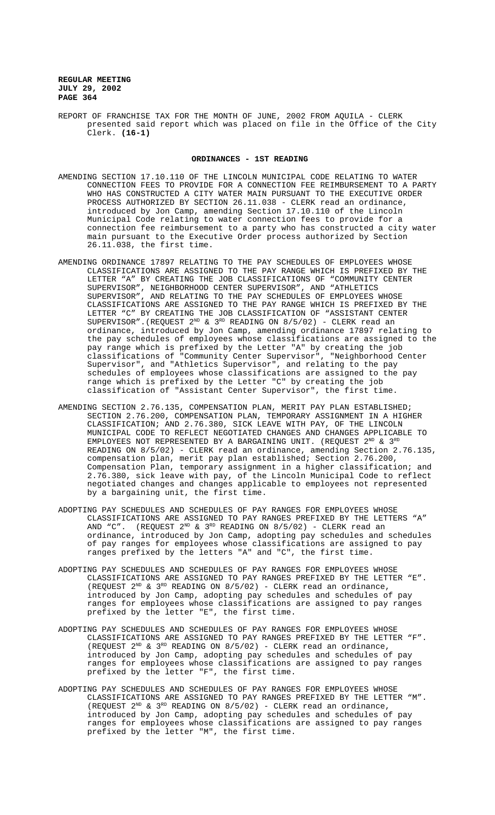REPORT OF FRANCHISE TAX FOR THE MONTH OF JUNE, 2002 FROM AQUILA - CLERK presented said report which was placed on file in the Office of the City Clerk. **(16-1)**

#### **ORDINANCES - 1ST READING**

- AMENDING SECTION 17.10.110 OF THE LINCOLN MUNICIPAL CODE RELATING TO WATER CONNECTION FEES TO PROVIDE FOR A CONNECTION FEE REIMBURSEMENT TO A PARTY WHO HAS CONSTRUCTED A CITY WATER MAIN PURSUANT TO THE EXECUTIVE ORDER PROCESS AUTHORIZED BY SECTION 26.11.038 - CLERK read an ordinance, introduced by Jon Camp, amending Section 17.10.110 of the Lincoln Municipal Code relating to water connection fees to provide for a connection fee reimbursement to a party who has constructed a city water main pursuant to the Executive Order process authorized by Section 26.11.038, the first time.
- AMENDING ORDINANCE 17897 RELATING TO THE PAY SCHEDULES OF EMPLOYEES WHOSE CLASSIFICATIONS ARE ASSIGNED TO THE PAY RANGE WHICH IS PREFIXED BY THE LETTER "A" BY CREATING THE JOB CLASSIFICATIONS OF "COMMUNITY CENTER SUPERVISOR", NEIGHBORHOOD CENTER SUPERVISOR", AND "ATHLETICS SUPERVISOR", AND RELATING TO THE PAY SCHEDULES OF EMPLOYEES WHOSE CLASSIFICATIONS ARE ASSIGNED TO THE PAY RANGE WHICH IS PREFIXED BY THE LETTER "C" BY CREATING THE JOB CLASSIFICATION OF "ASSISTANT CENTER SUPERVISOR".(REQUEST  $2^{ND}$  &  $3^{RD}$  READING ON  $8/5/02$ ) - CLERK read an ordinance, introduced by Jon Camp, amending ordinance 17897 relating to the pay schedules of employees whose classifications are assigned to the pay range which is prefixed by the Letter "A" by creating the job classifications of "Community Center Supervisor", "Neighborhood Center Supervisor", and "Athletics Supervisor", and relating to the pay schedules of employees whose classifications are assigned to the pay range which is prefixed by the Letter "C" by creating the job classification of "Assistant Center Supervisor", the first time.
- AMENDING SECTION 2.76.135, COMPENSATION PLAN, MERIT PAY PLAN ESTABLISHED; SECTION 2.76.200, COMPENSATION PLAN, TEMPORARY ASSIGNMENT IN A HIGHER CLASSIFICATION; AND 2.76.380, SICK LEAVE WITH PAY, OF THE LINCOLN MUNICIPAL CODE TO REFLECT NEGOTIATED CHANGES AND CHANGES APPLICABLE TO EMPLOYEES NOT REPRESENTED BY A BARGAINING UNIT. (REQUEST  $2^{ND}$  &  $3^{RD}$ READING ON 8/5/02) - CLERK read an ordinance, amending Section 2.76.135, compensation plan, merit pay plan established; Section 2.76.200, Compensation Plan, temporary assignment in a higher classification; and 2.76.380, sick leave with pay, of the Lincoln Municipal Code to reflect negotiated changes and changes applicable to employees not represented by a bargaining unit, the first time.
- ADOPTING PAY SCHEDULES AND SCHEDULES OF PAY RANGES FOR EMPLOYEES WHOSE CLASSIFICATIONS ARE ASSIGNED TO PAY RANGES PREFIXED BY THE LETTERS "A" AND "C". (REQUEST  $2^{\text{ND}}$  &  $3^{\text{RD}}$  READING ON  $8/5/02$ ) - CLERK read an ordinance, introduced by Jon Camp, adopting pay schedules and schedules of pay ranges for employees whose classifications are assigned to pay ranges prefixed by the letters "A" and "C", the first time.
- ADOPTING PAY SCHEDULES AND SCHEDULES OF PAY RANGES FOR EMPLOYEES WHOSE CLASSIFICATIONS ARE ASSIGNED TO PAY RANGES PREFIXED BY THE LETTER "E". (REQUEST  $2^{ND}$  &  $3^{RD}$  READING ON  $8/5/02$ ) - CLERK read an ordinance, introduced by Jon Camp, adopting pay schedules and schedules of pay ranges for employees whose classifications are assigned to pay ranges prefixed by the letter "E", the first time.
- ADOPTING PAY SCHEDULES AND SCHEDULES OF PAY RANGES FOR EMPLOYEES WHOSE CLASSIFICATIONS ARE ASSIGNED TO PAY RANGES PREFIXED BY THE LETTER "F". (REQUEST  $2^{ND}$  &  $3^{RD}$  READING ON  $8/5/02$ ) - CLERK read an ordinance, introduced by Jon Camp, adopting pay schedules and schedules of pay ranges for employees whose classifications are assigned to pay ranges prefixed by the letter "F", the first time.
- ADOPTING PAY SCHEDULES AND SCHEDULES OF PAY RANGES FOR EMPLOYEES WHOSE CLASSIFICATIONS ARE ASSIGNED TO PAY RANGES PREFIXED BY THE LETTER "M". (REQUEST  $2^{ND}$  &  $3^{RD}$  READING ON  $8/5/02$ ) - CLERK read an ordinance, introduced by Jon Camp, adopting pay schedules and schedules of pay ranges for employees whose classifications are assigned to pay ranges prefixed by the letter "M", the first time.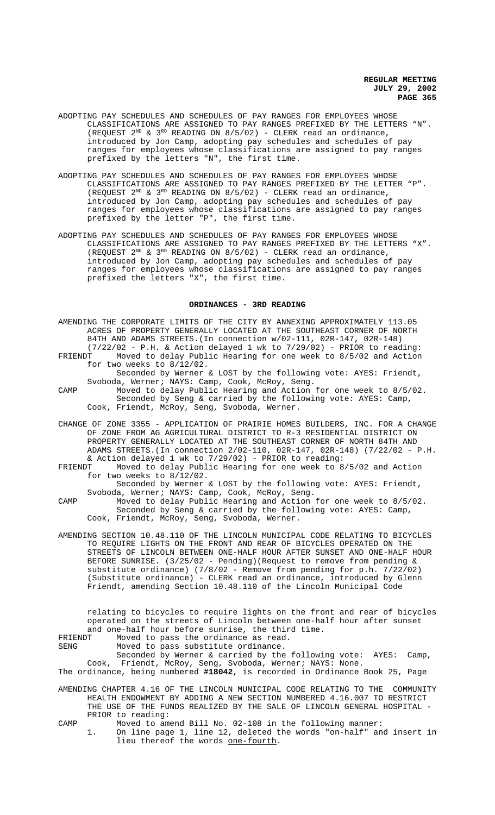- ADOPTING PAY SCHEDULES AND SCHEDULES OF PAY RANGES FOR EMPLOYEES WHOSE CLASSIFICATIONS ARE ASSIGNED TO PAY RANGES PREFIXED BY THE LETTERS "N". (REQUEST  $2^{ND}$  &  $3^{RD}$  READING ON  $8/5/02$ ) - CLERK read an ordinance, introduced by Jon Camp, adopting pay schedules and schedules of pay ranges for employees whose classifications are assigned to pay ranges prefixed by the letters "N", the first time.
- ADOPTING PAY SCHEDULES AND SCHEDULES OF PAY RANGES FOR EMPLOYEES WHOSE CLASSIFICATIONS ARE ASSIGNED TO PAY RANGES PREFIXED BY THE LETTER "P". (REQUEST  $2^{ND}$  &  $3^{RD}$  READING ON  $8/5/02$ ) - CLERK read an ordinance, introduced by Jon Camp, adopting pay schedules and schedules of pay ranges for employees whose classifications are assigned to pay ranges prefixed by the letter "P", the first time.
- ADOPTING PAY SCHEDULES AND SCHEDULES OF PAY RANGES FOR EMPLOYEES WHOSE CLASSIFICATIONS ARE ASSIGNED TO PAY RANGES PREFIXED BY THE LETTERS "X". (REQUEST  $2^{ND}$  &  $3^{RD}$  READING ON  $8/5/02$ ) - CLERK read an ordinance, introduced by Jon Camp, adopting pay schedules and schedules of pay ranges for employees whose classifications are assigned to pay ranges prefixed the letters "X", the first time.

## **ORDINANCES - 3RD READING**

- AMENDING THE CORPORATE LIMITS OF THE CITY BY ANNEXING APPROXIMATELY 113.05 ACRES OF PROPERTY GENERALLY LOCATED AT THE SOUTHEAST CORNER OF NORTH 84TH AND ADAMS STREETS.(In connection w/02-111, 02R-147, 02R-148) (7/22/02 - P.H. & Action delayed 1 wk to 7/29/02) - PRIOR to reading: Moved to delay Public Hearing for one week to 8/5/02 and Action
- for two weeks to 8/12/02. Seconded by Werner & LOST by the following vote: AYES: Friendt, Svoboda, Werner; NAYS: Camp, Cook, McRoy, Seng.
- CAMP Moved to delay Public Hearing and Action for one week to 8/5/02. Seconded by Seng & carried by the following vote: AYES: Camp, Cook, Friendt, McRoy, Seng, Svoboda, Werner.
- CHANGE OF ZONE 3355 APPLICATION OF PRAIRIE HOMES BUILDERS, INC. FOR A CHANGE OF ZONE FROM AG AGRICULTURAL DISTRICT TO R-3 RESIDENTIAL DISTRICT ON PROPERTY GENERALLY LOCATED AT THE SOUTHEAST CORNER OF NORTH 84TH AND ADAMS STREETS.(In connection 2/02-110, 02R-147, 02R-148) (7/22/02 - P.H.
- & Action delayed 1 wk to 7/29/02) PRIOR to reading: FRIENDT Moved to delay Public Hearing for one week to 8/5/02 and Action for two weeks to 8/12/02.

Seconded by Werner & LOST by the following vote: AYES: Friendt, Svoboda, Werner; NAYS: Camp, Cook, McRoy, Seng.

- CAMP Moved to delay Public Hearing and Action for one week to 8/5/02. Seconded by Seng & carried by the following vote: AYES: Camp, Cook, Friendt, McRoy, Seng, Svoboda, Werner.
- AMENDING SECTION 10.48.110 OF THE LINCOLN MUNICIPAL CODE RELATING TO BICYCLES TO REQUIRE LIGHTS ON THE FRONT AND REAR OF BICYCLES OPERATED ON THE STREETS OF LINCOLN BETWEEN ONE-HALF HOUR AFTER SUNSET AND ONE-HALF HOUR BEFORE SUNRISE. (3/25/02 - Pending)(Request to remove from pending & substitute ordinance) (7/8/02 - Remove from pending for p.h. 7/22/02) (Substitute ordinance) - CLERK read an ordinance, introduced by Glenn Friendt, amending Section 10.48.110 of the Lincoln Municipal Code

relating to bicycles to require lights on the front and rear of bicycles operated on the streets of Lincoln between one-half hour after sunset and one-half hour before sunrise, the third time.<br>FRIENDT Moved to pass the ordinance as read.

FRIENDT Moved to pass the ordinance as read.<br>SENG Moved to pass substitute ordinance.

Moved to pass substitute ordinance.

Seconded by Werner & carried by the following vote: AYES: Camp, Cook, Friendt, McRoy, Seng, Svoboda, Werner; NAYS: None.

The ordinance, being numbered **#18042**, is recorded in Ordinance Book 25, Page

- AMENDING CHAPTER 4.16 OF THE LINCOLN MUNICIPAL CODE RELATING TO THE COMMUNITY HEALTH ENDOWMENT BY ADDING A NEW SECTION NUMBERED 4.16.007 TO RESTRICT THE USE OF THE FUNDS REALIZED BY THE SALE OF LINCOLN GENERAL HOSPITAL - PRIOR to reading:
- CAMP Moved to amend Bill No. 02-108 in the following manner:
	- 1. On line page 1, line 12, deleted the words "on-half" and insert in lieu thereof the words one-fourth.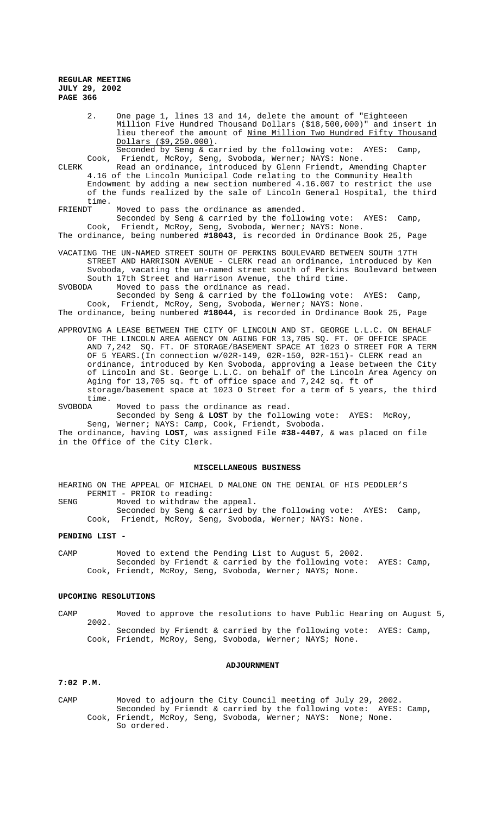2. One page 1, lines 13 and 14, delete the amount of "Eighteeen Million Five Hundred Thousand Dollars (\$18,500,000)" and insert in lieu thereof the amount of Nine Million Two Hundred Fifty Thousand Dollars (\$9,250.000). Seconded by Seng & carried by the following vote: AYES: Camp,

Cook, Friendt, McRoy, Seng, Svoboda, Werner; NAYS: None.

CLERK Read an ordinance, introduced by Glenn Friendt, Amending Chapter 4.16 of the Lincoln Municipal Code relating to the Community Health Endowment by adding a new section numbered 4.16.007 to restrict the use of the funds realized by the sale of Lincoln General Hospital, the third time.<br>FRIENDT

Moved to pass the ordinance as amended.

Seconded by Seng & carried by the following vote: AYES: Camp, Cook, Friendt, McRoy, Seng, Svoboda, Werner; NAYS: None.

The ordinance, being numbered **#18043**, is recorded in Ordinance Book 25, Page

VACATING THE UN-NAMED STREET SOUTH OF PERKINS BOULEVARD BETWEEN SOUTH 17TH STREET AND HARRISON AVENUE - CLERK read an ordinance, introduced by Ken Svoboda, vacating the un-named street south of Perkins Boulevard between South 17th Street and Harrison Avenue, the third time.

SVOBODA Moved to pass the ordinance as read.

Seconded by Seng & carried by the following vote: AYES: Camp, Cook, Friendt, McRoy, Seng, Svoboda, Werner; NAYS: None. The ordinance, being numbered **#18044**, is recorded in Ordinance Book 25, Page

APPROVING A LEASE BETWEEN THE CITY OF LINCOLN AND ST. GEORGE L.L.C. ON BEHALF OF THE LINCOLN AREA AGENCY ON AGING FOR 13,705 SQ. FT. OF OFFICE SPACE AND 7,242 SQ. FT. OF STORAGE/BASEMENT SPACE AT 1023 O STREET FOR A TERM OF 5 YEARS.(In connection w/02R-149, 02R-150, 02R-151)- CLERK read an ordinance, introduced by Ken Svoboda, approving a lease between the City of Lincoln and St. George L.L.C. on behalf of the Lincoln Area Agency on Aging for 13,705 sq. ft of office space and 7,242 sq. ft of storage/basement space at 1023 O Street for a term of 5 years, the third time.<br>SVOBODA

Moved to pass the ordinance as read. Seconded by Seng & **LOST** by the following vote: AYES: McRoy,

Seng, Werner; NAYS: Camp, Cook, Friendt, Svoboda. The ordinance, having **LOST**, was assigned File **#38-4407**, & was placed on file in the Office of the City Clerk.

## **MISCELLANEOUS BUSINESS**

HEARING ON THE APPEAL OF MICHAEL D MALONE ON THE DENIAL OF HIS PEDDLER'S PERMIT - PRIOR to reading:

SENG Moved to withdraw the appeal.

Seconded by Seng & carried by the following vote: AYES: Camp, Cook, Friendt, McRoy, Seng, Svoboda, Werner; NAYS: None.

## **PENDING LIST -**

CAMP Moved to extend the Pending List to August 5, 2002. Seconded by Friendt & carried by the following vote: AYES: Camp, Cook, Friendt, McRoy, Seng, Svoboda, Werner; NAYS; None.

# **UPCOMING RESOLUTIONS**

CAMP Moved to approve the resolutions to have Public Hearing on August 5, 2002. Seconded by Friendt & carried by the following vote: AYES: Camp, Cook, Friendt, McRoy, Seng, Svoboda, Werner; NAYS; None.

#### **ADJOURNMENT**

#### **7:02 P.M.**

CAMP Moved to adjourn the City Council meeting of July 29, 2002. Seconded by Friendt & carried by the following vote: AYES: Camp, Cook, Friendt, McRoy, Seng, Svoboda, Werner; NAYS: None; None. So ordered.